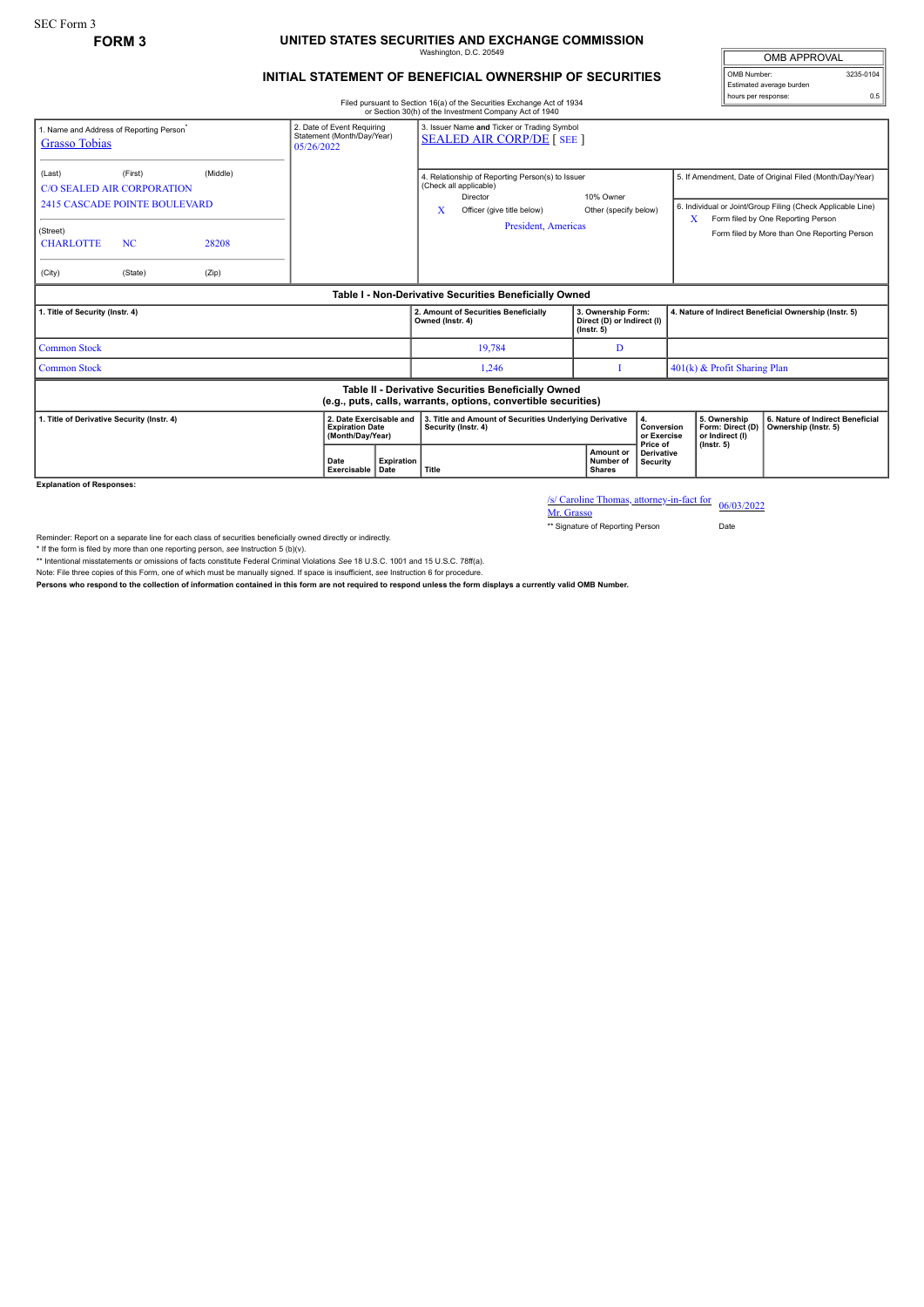## **FORM 3 UNITED STATES SECURITIES AND EXCHANGE COMMISSION** Washington, D.C. 20549

## **INITIAL STATEMENT OF BENEFICIAL OWNERSHIP OF SECURITIES**

OMB APPROVAL OMB Number: 3235-0104 Estimated average burden hours per response: 0.5

Filed pursuant to Section 16(a) of the Securities Exchange Act of 1934 or Section 30(h) of the Investment Company Act of 1940

| 1. Name and Address of Reporting Person <sup>®</sup><br><b>Grasso Tobias</b>                                          |                                                                                                              |                            | 2. Date of Event Requiring<br>Statement (Month/Day/Year)<br>05/26/2022 |                    | 3. Issuer Name and Ticker or Trading Symbol<br><b>SEALED AIR CORP/DE [ SEE ]</b>                                                                                                       |                                                                      |                                           |                                                                                                                                                                                                               |                                                          |  |
|-----------------------------------------------------------------------------------------------------------------------|--------------------------------------------------------------------------------------------------------------|----------------------------|------------------------------------------------------------------------|--------------------|----------------------------------------------------------------------------------------------------------------------------------------------------------------------------------------|----------------------------------------------------------------------|-------------------------------------------|---------------------------------------------------------------------------------------------------------------------------------------------------------------------------------------------------------------|----------------------------------------------------------|--|
| (Last)<br>(Street)<br><b>CHARLOTTE</b><br>(City)                                                                      | (First)<br><b>C/O SEALED AIR CORPORATION</b><br><b>2415 CASCADE POINTE BOULEVARD</b><br><b>NC</b><br>(State) | (Middle)<br>28208<br>(Zip) |                                                                        |                    | 4. Relationship of Reporting Person(s) to Issuer<br>(Check all applicable)<br>10% Owner<br>Director<br>X<br>Officer (give title below)<br>Other (specify below)<br>President, Americas |                                                                      |                                           | 5. If Amendment, Date of Original Filed (Month/Day/Year)<br>6. Individual or Joint/Group Filing (Check Applicable Line)<br>Form filed by One Reporting Person<br>Form filed by More than One Reporting Person |                                                          |  |
| Table I - Non-Derivative Securities Beneficially Owned                                                                |                                                                                                              |                            |                                                                        |                    |                                                                                                                                                                                        |                                                                      |                                           |                                                                                                                                                                                                               |                                                          |  |
| 1. Title of Security (Instr. 4)                                                                                       |                                                                                                              |                            |                                                                        |                    | 2. Amount of Securities Beneficially<br>Owned (Instr. 4)                                                                                                                               | 3. Ownership Form:<br>Direct (D) or Indirect (I)<br>$($ lnstr. 5 $)$ |                                           | 4. Nature of Indirect Beneficial Ownership (Instr. 5)                                                                                                                                                         |                                                          |  |
| <b>Common Stock</b>                                                                                                   |                                                                                                              |                            |                                                                        |                    | 19,784                                                                                                                                                                                 | D                                                                    |                                           |                                                                                                                                                                                                               |                                                          |  |
| <b>Common Stock</b>                                                                                                   |                                                                                                              |                            |                                                                        |                    | 1,246                                                                                                                                                                                  |                                                                      |                                           | 401(k) & Profit Sharing Plan                                                                                                                                                                                  |                                                          |  |
| Table II - Derivative Securities Beneficially Owned<br>(e.g., puts, calls, warrants, options, convertible securities) |                                                                                                              |                            |                                                                        |                    |                                                                                                                                                                                        |                                                                      |                                           |                                                                                                                                                                                                               |                                                          |  |
| 1. Title of Derivative Security (Instr. 4)<br>2. Date Exercisable and<br><b>Expiration Date</b><br>(Month/Day/Year)   |                                                                                                              |                            |                                                                        |                    | 3. Title and Amount of Securities Underlying Derivative<br>Security (Instr. 4)                                                                                                         |                                                                      | 4.<br>Conversion<br>or Exercise           | 5. Ownership<br>Form: Direct (D)<br>or Indirect (I)                                                                                                                                                           | 6. Nature of Indirect Beneficial<br>Ownership (Instr. 5) |  |
|                                                                                                                       |                                                                                                              |                            | Date<br>Exercisable                                                    | Expiration<br>Date | Title                                                                                                                                                                                  | Amount or<br>Number of<br><b>Shares</b>                              | Price of<br><b>Derivative</b><br>Security | $($ lnstr. 5 $)$                                                                                                                                                                                              |                                                          |  |

**Explanation of Responses:**

/s/ Caroline Thomas, attorney-in-fact for 06/03/2022<br>Mr. Grasso

\*\* Signature of Reporting Person Date

Reminder: Report on a separate line for each class of securities beneficially owned directly or indirectly.

\* If the form is filed by more than one reporting person, *see* Instruction 5 (b)(v).

\*\* Intentional misstatements or omissions of facts constitute Federal Criminal Violations *See* 18 U.S.C. 1001 and 15 U.S.C. 78ff(a).

Note: File three copies of this Form, one of which must be manually signed. If space is insufficient, see Instruction 6 for procedure.<br>Persons who respond to the collection of information contained in this form are not req